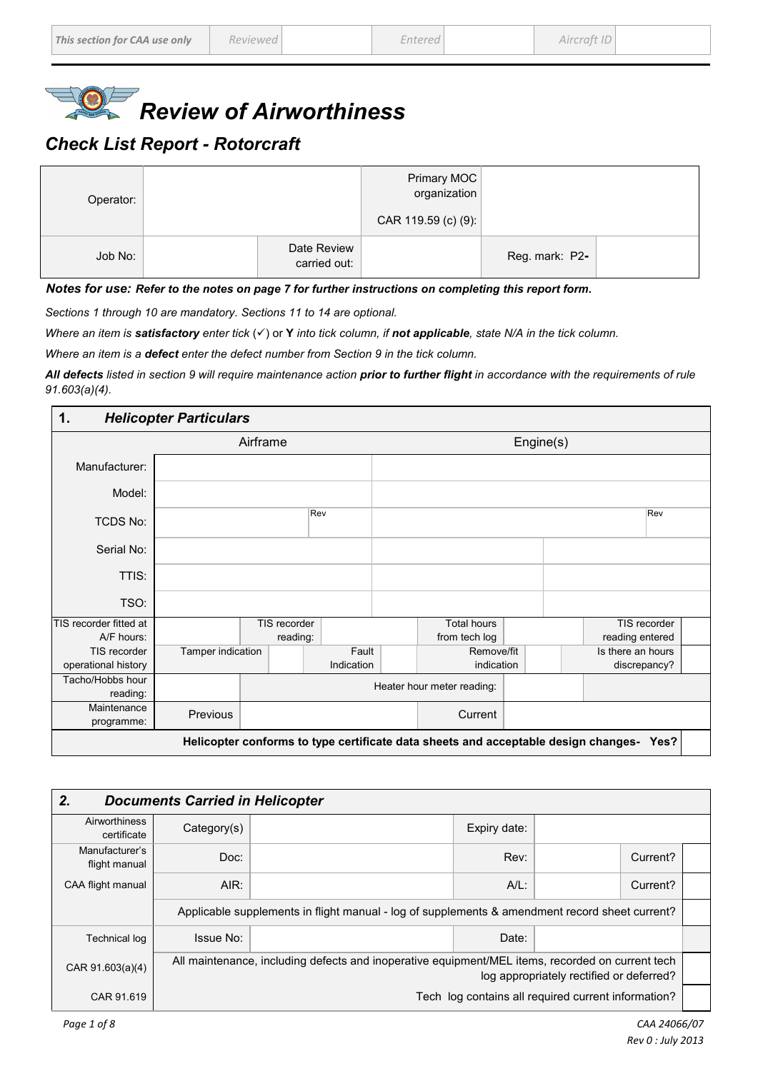

## *Check List Report - Rotorcraft*

| Operator: |                             | Primary MOC<br>organization<br>CAR 119.59 (c) (9): |                |
|-----------|-----------------------------|----------------------------------------------------|----------------|
| Job No:   | Date Review<br>carried out: |                                                    | Reg. mark: P2- |

*Notes for use: Refer to the notes on page 7 for further instructions on completing this report form.*

*Sections 1 through 10 are mandatory. Sections 11 to 14 are optional.*

*Where an item is satisfactory enter tick* ( $\checkmark$ ) or **Y** *into tick column, if not applicable, state N/A in the tick column.* 

*Where an item is a defect enter the defect number from Section 9 in the tick column.* 

*All defects listed in section 9 will require maintenance action prior to further flight in accordance with the requirements of rule 91.603(a)(4).* 

| <b>Helicopter Particulars</b><br>$\mathbf 1$ . |                                                                                            |  |              |            |  |                            |  |  |                   |  |
|------------------------------------------------|--------------------------------------------------------------------------------------------|--|--------------|------------|--|----------------------------|--|--|-------------------|--|
|                                                | Airframe<br>Engine(s)                                                                      |  |              |            |  |                            |  |  |                   |  |
| Manufacturer:                                  |                                                                                            |  |              |            |  |                            |  |  |                   |  |
| Model:                                         |                                                                                            |  |              |            |  |                            |  |  |                   |  |
| <b>TCDS No:</b>                                |                                                                                            |  |              | Rev        |  |                            |  |  | Rev               |  |
| Serial No:                                     |                                                                                            |  |              |            |  |                            |  |  |                   |  |
| TTIS:                                          |                                                                                            |  |              |            |  |                            |  |  |                   |  |
| TSO:                                           |                                                                                            |  |              |            |  |                            |  |  |                   |  |
| TIS recorder fitted at                         |                                                                                            |  | TIS recorder |            |  | <b>Total hours</b>         |  |  | TIS recorder      |  |
| A/F hours:                                     |                                                                                            |  | reading:     |            |  | from tech log              |  |  | reading entered   |  |
| TIS recorder                                   | Tamper indication                                                                          |  |              | Fault      |  | Remove/fit                 |  |  | Is there an hours |  |
| operational history                            |                                                                                            |  |              | Indication |  | indication                 |  |  | discrepancy?      |  |
| Tacho/Hobbs hour                               |                                                                                            |  |              |            |  | Heater hour meter reading: |  |  |                   |  |
| reading:                                       |                                                                                            |  |              |            |  |                            |  |  |                   |  |
| Maintenance                                    | Previous                                                                                   |  |              |            |  | Current                    |  |  |                   |  |
| programme:                                     |                                                                                            |  |              |            |  |                            |  |  |                   |  |
|                                                | Helicopter conforms to type certificate data sheets and acceptable design changes-<br>Yes? |  |              |            |  |                            |  |  |                   |  |

| 2.<br><b>Documents Carried in Helicopter</b> |                                                                                                                                              |                                                                                                |              |  |          |  |  |  |
|----------------------------------------------|----------------------------------------------------------------------------------------------------------------------------------------------|------------------------------------------------------------------------------------------------|--------------|--|----------|--|--|--|
| Airworthiness<br>certificate                 | Category(s)                                                                                                                                  |                                                                                                | Expiry date: |  |          |  |  |  |
| Manufacturer's<br>flight manual              | Doc:                                                                                                                                         |                                                                                                | Rev:         |  | Current? |  |  |  |
| CAA flight manual                            | AIR:                                                                                                                                         |                                                                                                | $A/L$ :      |  | Current? |  |  |  |
|                                              |                                                                                                                                              | Applicable supplements in flight manual - log of supplements & amendment record sheet current? |              |  |          |  |  |  |
| <b>Technical log</b>                         | Issue No:                                                                                                                                    |                                                                                                | Date:        |  |          |  |  |  |
| CAR 91.603(a)(4)                             | All maintenance, including defects and inoperative equipment/MEL items, recorded on current tech<br>log appropriately rectified or deferred? |                                                                                                |              |  |          |  |  |  |
| CAR 91.619                                   | Tech log contains all required current information?                                                                                          |                                                                                                |              |  |          |  |  |  |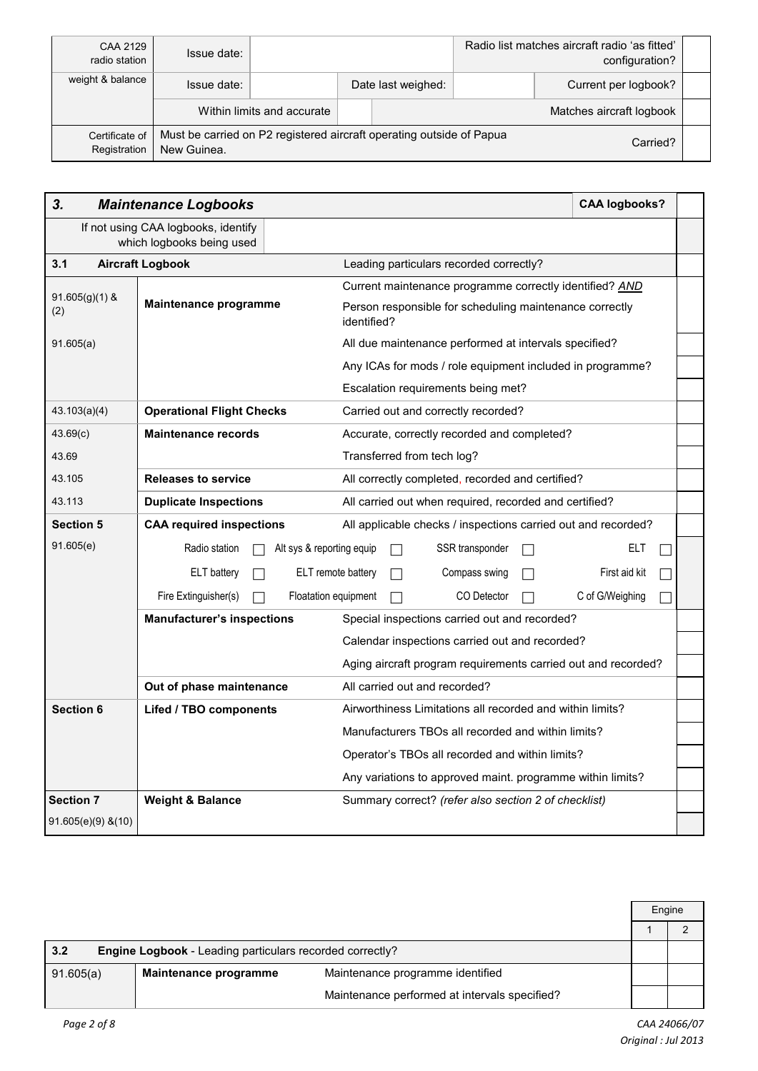| CAA 2129<br>radio station      | Issue date: |                                                                                  |  |                    |  | Radio list matches aircraft radio 'as fitted'<br>configuration? |  |
|--------------------------------|-------------|----------------------------------------------------------------------------------|--|--------------------|--|-----------------------------------------------------------------|--|
| weight & balance               | Issue date: |                                                                                  |  | Date last weighed: |  | Current per logbook?                                            |  |
|                                |             | Within limits and accurate                                                       |  |                    |  | Matches aircraft logbook                                        |  |
| Certificate of<br>Registration | New Guinea. | Must be carried on P2 registered aircraft operating outside of Papua<br>Carried? |  |                    |  |                                                                 |  |

| 3.                      | <b>Maintenance Logbooks</b>                                      | <b>CAA logbooks?</b>                                                   |  |  |  |
|-------------------------|------------------------------------------------------------------|------------------------------------------------------------------------|--|--|--|
|                         | If not using CAA logbooks, identify<br>which logbooks being used |                                                                        |  |  |  |
| 3.1                     | <b>Aircraft Logbook</b>                                          | Leading particulars recorded correctly?                                |  |  |  |
| $91.605(g)(1)$ &        |                                                                  | Current maintenance programme correctly identified? AND                |  |  |  |
| (2)                     | Maintenance programme                                            | Person responsible for scheduling maintenance correctly<br>identified? |  |  |  |
| 91.605(a)               |                                                                  | All due maintenance performed at intervals specified?                  |  |  |  |
|                         |                                                                  | Any ICAs for mods / role equipment included in programme?              |  |  |  |
|                         |                                                                  | Escalation requirements being met?                                     |  |  |  |
| 43.103(a)(4)            | <b>Operational Flight Checks</b>                                 | Carried out and correctly recorded?                                    |  |  |  |
| 43.69(c)                | <b>Maintenance records</b>                                       | Accurate, correctly recorded and completed?                            |  |  |  |
| 43.69                   | Transferred from tech log?                                       |                                                                        |  |  |  |
| 43.105                  | <b>Releases to service</b>                                       | All correctly completed, recorded and certified?                       |  |  |  |
| 43.113                  | <b>Duplicate Inspections</b>                                     | All carried out when required, recorded and certified?                 |  |  |  |
| <b>Section 5</b>        | <b>CAA required inspections</b>                                  | All applicable checks / inspections carried out and recorded?          |  |  |  |
| 91.605(e)               | Radio station                                                    | Alt sys & reporting equip<br>SSR transponder<br>ELT                    |  |  |  |
|                         | ELT battery                                                      | ELT remote battery<br>Compass swing<br>First aid kit                   |  |  |  |
|                         | Fire Extinguisher(s)                                             | Floatation equipment<br>CO Detector<br>C of G/Weighing                 |  |  |  |
|                         | <b>Manufacturer's inspections</b>                                | Special inspections carried out and recorded?                          |  |  |  |
|                         |                                                                  | Calendar inspections carried out and recorded?                         |  |  |  |
|                         |                                                                  | Aging aircraft program requirements carried out and recorded?          |  |  |  |
|                         | Out of phase maintenance                                         | All carried out and recorded?                                          |  |  |  |
| <b>Section 6</b>        | Lifed / TBO components                                           | Airworthiness Limitations all recorded and within limits?              |  |  |  |
|                         | Manufacturers TBOs all recorded and within limits?               |                                                                        |  |  |  |
|                         | Operator's TBOs all recorded and within limits?                  |                                                                        |  |  |  |
|                         |                                                                  | Any variations to approved maint. programme within limits?             |  |  |  |
| <b>Section 7</b>        | <b>Weight &amp; Balance</b>                                      | Summary correct? (refer also section 2 of checklist)                   |  |  |  |
| $91.605(e)(9)$ & $(10)$ |                                                                  |                                                                        |  |  |  |

|                                                                 |                       |                                               |  | Engine |  |
|-----------------------------------------------------------------|-----------------------|-----------------------------------------------|--|--------|--|
|                                                                 |                       |                                               |  |        |  |
| 3.2<br>Engine Logbook - Leading particulars recorded correctly? |                       |                                               |  |        |  |
| 91.605(a)                                                       | Maintenance programme | Maintenance programme identified              |  |        |  |
|                                                                 |                       | Maintenance performed at intervals specified? |  |        |  |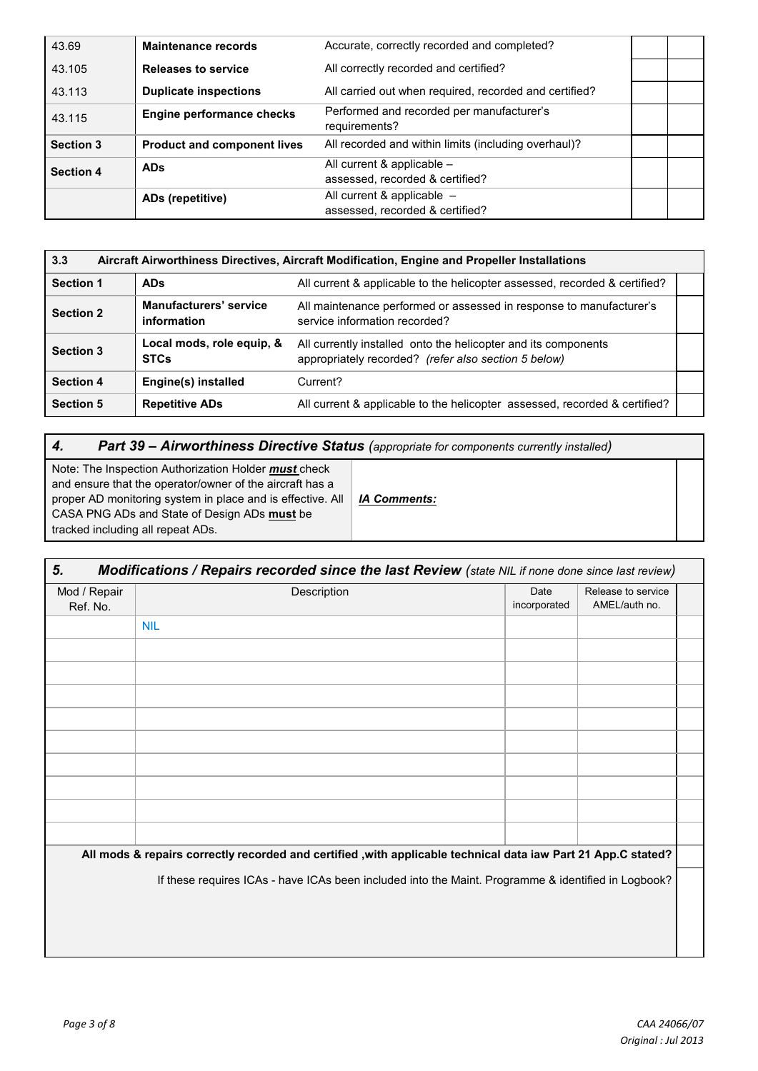| 43.69            | <b>Maintenance records</b>         | Accurate, correctly recorded and completed?                |  |
|------------------|------------------------------------|------------------------------------------------------------|--|
| 43.105           | <b>Releases to service</b>         | All correctly recorded and certified?                      |  |
| 43.113           | <b>Duplicate inspections</b>       | All carried out when required, recorded and certified?     |  |
| 43.115           | <b>Engine performance checks</b>   | Performed and recorded per manufacturer's<br>requirements? |  |
| <b>Section 3</b> | <b>Product and component lives</b> | All recorded and within limits (including overhaul)?       |  |
| <b>Section 4</b> | <b>ADs</b>                         | All current & applicable -                                 |  |
|                  |                                    | assessed, recorded & certified?                            |  |
|                  | ADs (repetitive)                   | All current & applicable $-$                               |  |
|                  |                                    | assessed, recorded & certified?                            |  |

| 3.3<br>Aircraft Airworthiness Directives, Aircraft Modification, Engine and Propeller Installations |                                       |                                                                                                                        |  |  |  |  |  |
|-----------------------------------------------------------------------------------------------------|---------------------------------------|------------------------------------------------------------------------------------------------------------------------|--|--|--|--|--|
| <b>Section 1</b><br><b>ADs</b>                                                                      |                                       | All current & applicable to the helicopter assessed, recorded & certified?                                             |  |  |  |  |  |
| <b>Section 2</b>                                                                                    | Manufacturers' service<br>information | All maintenance performed or assessed in response to manufacturer's<br>service information recorded?                   |  |  |  |  |  |
| Local mods, role equip, &<br><b>Section 3</b><br><b>STCs</b>                                        |                                       | All currently installed onto the helicopter and its components<br>appropriately recorded? (refer also section 5 below) |  |  |  |  |  |
| <b>Section 4</b>                                                                                    | Engine(s) installed                   | Current?                                                                                                               |  |  |  |  |  |
| <b>Section 5</b>                                                                                    | <b>Repetitive ADs</b>                 | All current & applicable to the helicopter assessed, recorded & certified?                                             |  |  |  |  |  |

# *4. Part 39 – Airworthiness Directive Status (appropriate for components currently installed)*

Note: The Inspection Authorization Holder *must* check and ensure that the operator/owner of the aircraft has a proper AD monitoring system in place and is effective. All CASA PNG ADs and State of Design ADs **must** be tracked including all repeat ADs.

*IA Comments:*

| 5.<br>Modifications / Repairs recorded since the last Review (state NIL if none done since last review) |                                                                                                                |                      |                                     |  |  |  |  |
|---------------------------------------------------------------------------------------------------------|----------------------------------------------------------------------------------------------------------------|----------------------|-------------------------------------|--|--|--|--|
| Mod / Repair<br>Ref. No.                                                                                | Description                                                                                                    | Date<br>incorporated | Release to service<br>AMEL/auth no. |  |  |  |  |
|                                                                                                         | <b>NIL</b>                                                                                                     |                      |                                     |  |  |  |  |
|                                                                                                         |                                                                                                                |                      |                                     |  |  |  |  |
|                                                                                                         |                                                                                                                |                      |                                     |  |  |  |  |
|                                                                                                         |                                                                                                                |                      |                                     |  |  |  |  |
|                                                                                                         |                                                                                                                |                      |                                     |  |  |  |  |
|                                                                                                         |                                                                                                                |                      |                                     |  |  |  |  |
|                                                                                                         |                                                                                                                |                      |                                     |  |  |  |  |
|                                                                                                         |                                                                                                                |                      |                                     |  |  |  |  |
|                                                                                                         |                                                                                                                |                      |                                     |  |  |  |  |
|                                                                                                         |                                                                                                                |                      |                                     |  |  |  |  |
|                                                                                                         | All mods & repairs correctly recorded and certified , with applicable technical data iaw Part 21 App.C stated? |                      |                                     |  |  |  |  |
|                                                                                                         | If these requires ICAs - have ICAs been included into the Maint. Programme & identified in Logbook?            |                      |                                     |  |  |  |  |
|                                                                                                         |                                                                                                                |                      |                                     |  |  |  |  |
|                                                                                                         |                                                                                                                |                      |                                     |  |  |  |  |
|                                                                                                         |                                                                                                                |                      |                                     |  |  |  |  |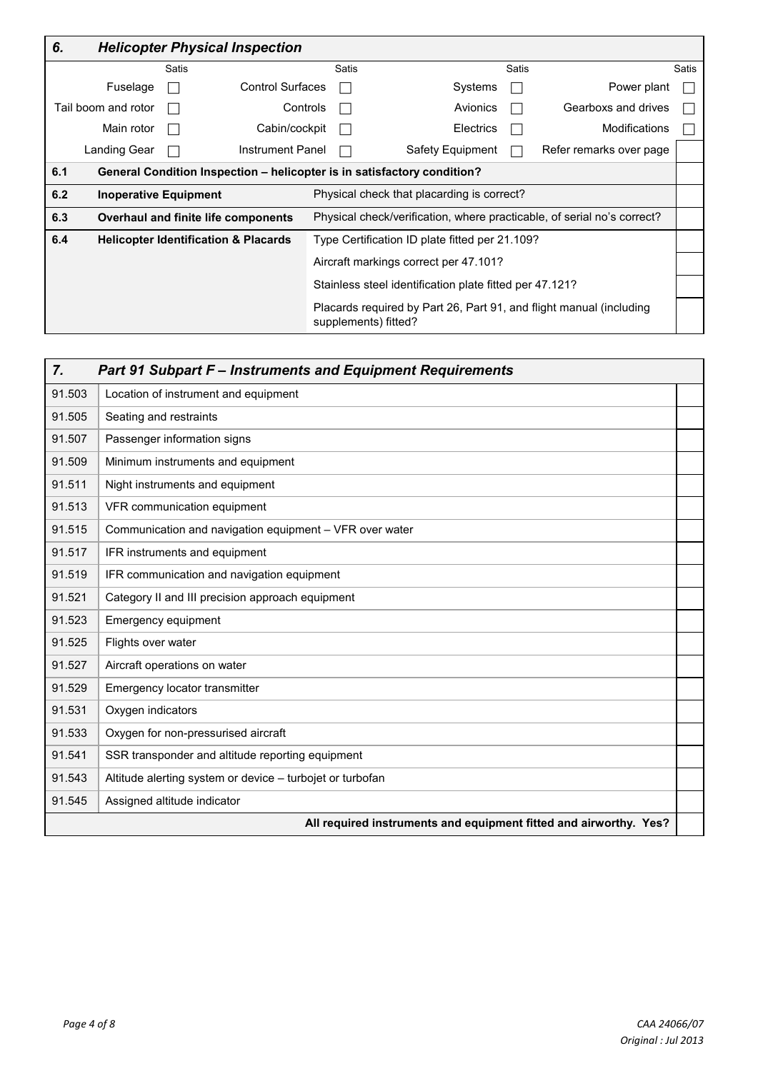| 6.  | <b>Helicopter Physical Inspection</b> |       |                                                                         |                                                         |                                                                                             |       |                         |       |
|-----|---------------------------------------|-------|-------------------------------------------------------------------------|---------------------------------------------------------|---------------------------------------------------------------------------------------------|-------|-------------------------|-------|
|     |                                       | Satis |                                                                         | <b>Satis</b>                                            |                                                                                             | Satis |                         | Satis |
|     | Fuselage                              |       | <b>Control Surfaces</b>                                                 |                                                         | Systems                                                                                     |       | Power plant             |       |
|     | Tail boom and rotor                   |       | Controls                                                                |                                                         | Avionics                                                                                    |       | Gearboxs and drives     |       |
|     | Main rotor                            |       | Cabin/cockpit                                                           |                                                         | Electrics                                                                                   |       | Modifications           |       |
|     | Landing Gear                          |       | Instrument Panel                                                        |                                                         | Safety Equipment                                                                            |       | Refer remarks over page |       |
| 6.1 |                                       |       | General Condition Inspection - helicopter is in satisfactory condition? |                                                         |                                                                                             |       |                         |       |
| 6.2 | <b>Inoperative Equipment</b>          |       |                                                                         |                                                         | Physical check that placarding is correct?                                                  |       |                         |       |
| 6.3 |                                       |       | Overhaul and finite life components                                     |                                                         | Physical check/verification, where practicable, of serial no's correct?                     |       |                         |       |
| 6.4 |                                       |       | <b>Helicopter Identification &amp; Placards</b>                         | Type Certification ID plate fitted per 21.109?          |                                                                                             |       |                         |       |
|     |                                       |       |                                                                         | Aircraft markings correct per 47.101?                   |                                                                                             |       |                         |       |
|     |                                       |       |                                                                         | Stainless steel identification plate fitted per 47.121? |                                                                                             |       |                         |       |
|     |                                       |       |                                                                         |                                                         | Placards required by Part 26, Part 91, and flight manual (including<br>supplements) fitted? |       |                         |       |

| <b>Part 91 Subpart F - Instruments and Equipment Requirements</b><br>7. |                                                                   |  |  |  |  |  |
|-------------------------------------------------------------------------|-------------------------------------------------------------------|--|--|--|--|--|
| 91.503                                                                  | Location of instrument and equipment                              |  |  |  |  |  |
| 91.505                                                                  | Seating and restraints                                            |  |  |  |  |  |
| 91.507                                                                  | Passenger information signs                                       |  |  |  |  |  |
| 91.509                                                                  | Minimum instruments and equipment                                 |  |  |  |  |  |
| 91.511                                                                  | Night instruments and equipment                                   |  |  |  |  |  |
| 91.513                                                                  | VFR communication equipment                                       |  |  |  |  |  |
| 91.515                                                                  | Communication and navigation equipment - VFR over water           |  |  |  |  |  |
| 91.517                                                                  | IFR instruments and equipment                                     |  |  |  |  |  |
| 91.519                                                                  | IFR communication and navigation equipment                        |  |  |  |  |  |
| 91.521                                                                  | Category II and III precision approach equipment                  |  |  |  |  |  |
| 91.523                                                                  | Emergency equipment                                               |  |  |  |  |  |
| 91.525                                                                  | Flights over water                                                |  |  |  |  |  |
| 91.527                                                                  | Aircraft operations on water                                      |  |  |  |  |  |
| 91.529                                                                  | Emergency locator transmitter                                     |  |  |  |  |  |
| 91.531                                                                  | Oxygen indicators                                                 |  |  |  |  |  |
| 91.533                                                                  | Oxygen for non-pressurised aircraft                               |  |  |  |  |  |
| 91.541                                                                  | SSR transponder and altitude reporting equipment                  |  |  |  |  |  |
| 91.543                                                                  | Altitude alerting system or device - turbojet or turbofan         |  |  |  |  |  |
| 91.545                                                                  | Assigned altitude indicator                                       |  |  |  |  |  |
|                                                                         | All required instruments and equipment fitted and airworthy. Yes? |  |  |  |  |  |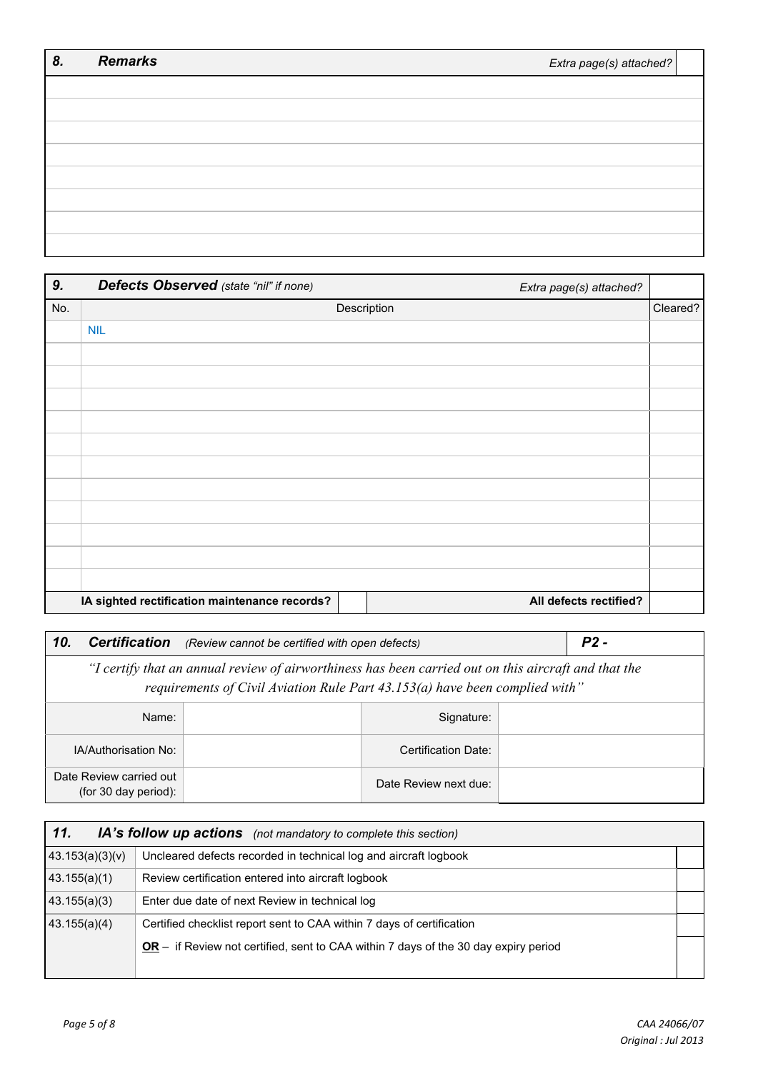| 8. | <b>Remarks</b> | Extra page(s) attached? |
|----|----------------|-------------------------|
|    |                |                         |
|    |                |                         |
|    |                |                         |
|    |                |                         |
|    |                |                         |
|    |                |                         |
|    |                |                         |
|    |                |                         |

| 9.  | Defects Observed (state "nil" if none)        |             | Extra page(s) attached? |          |
|-----|-----------------------------------------------|-------------|-------------------------|----------|
| No. |                                               | Description |                         | Cleared? |
|     | <b>NIL</b>                                    |             |                         |          |
|     |                                               |             |                         |          |
|     |                                               |             |                         |          |
|     |                                               |             |                         |          |
|     |                                               |             |                         |          |
|     |                                               |             |                         |          |
|     |                                               |             |                         |          |
|     |                                               |             |                         |          |
|     |                                               |             |                         |          |
|     |                                               |             |                         |          |
|     |                                               |             |                         |          |
|     |                                               |             |                         |          |
|     | IA sighted rectification maintenance records? |             | All defects rectified?  |          |

| <b>Certification</b><br>10.                                                                                                                                                         | (Review cannot be certified with open defects) | $P2 -$                |  |  |  |
|-------------------------------------------------------------------------------------------------------------------------------------------------------------------------------------|------------------------------------------------|-----------------------|--|--|--|
| "I certify that an annual review of airworthiness has been carried out on this aircraft and that the<br>requirements of Civil Aviation Rule Part 43.153(a) have been complied with" |                                                |                       |  |  |  |
| Signature:<br>Name:                                                                                                                                                                 |                                                |                       |  |  |  |
| IA/Authorisation No:                                                                                                                                                                |                                                | Certification Date:   |  |  |  |
| Date Review carried out<br>(for 30 day period):                                                                                                                                     |                                                | Date Review next due: |  |  |  |

| 11.<br>IA's follow up actions (not mandatory to complete this section) |                                                                                       |  |  |  |
|------------------------------------------------------------------------|---------------------------------------------------------------------------------------|--|--|--|
| 43.153(a)(3)(v)                                                        | Uncleared defects recorded in technical log and aircraft logbook                      |  |  |  |
| 43.155(a)(1)                                                           | Review certification entered into aircraft logbook                                    |  |  |  |
| 43.155(a)(3)                                                           | Enter due date of next Review in technical log                                        |  |  |  |
| 43.155(a)(4)                                                           | Certified checklist report sent to CAA within 7 days of certification                 |  |  |  |
|                                                                        | $OR -$ if Review not certified, sent to CAA within 7 days of the 30 day expiry period |  |  |  |
|                                                                        |                                                                                       |  |  |  |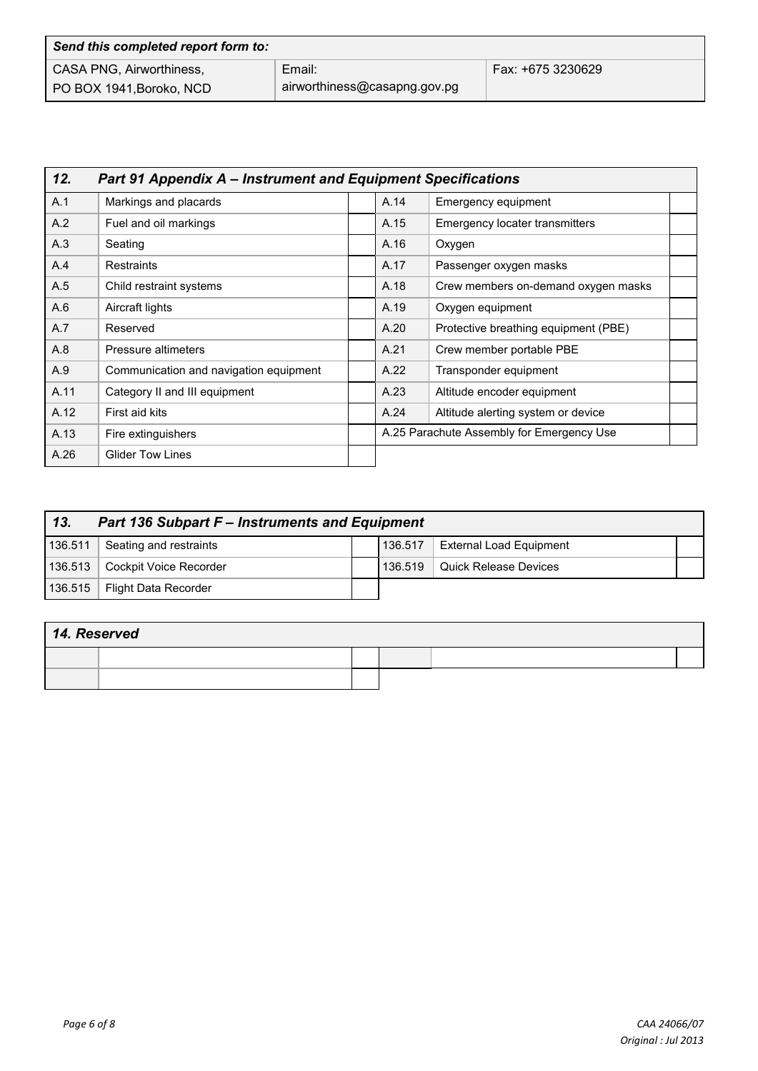| Send this completed report form to: |                              |                   |  |  |  |
|-------------------------------------|------------------------------|-------------------|--|--|--|
| CASA PNG, Airworthiness,            | Email:                       | Fax: +675 3230629 |  |  |  |
| PO BOX 1941, Boroko, NCD            | airworthiness@casapng.gov.pg |                   |  |  |  |

| 12.<br><b>Part 91 Appendix A – Instrument and Equipment Specifications</b> |                                        |  |                                           |                                       |  |  |
|----------------------------------------------------------------------------|----------------------------------------|--|-------------------------------------------|---------------------------------------|--|--|
| A.1                                                                        | Markings and placards                  |  | A.14                                      | Emergency equipment                   |  |  |
| A.2                                                                        | Fuel and oil markings                  |  | A.15                                      | <b>Emergency locater transmitters</b> |  |  |
| A.3                                                                        | Seating                                |  | A.16                                      | Oxygen                                |  |  |
| A.4                                                                        | Restraints                             |  | A.17                                      | Passenger oxygen masks                |  |  |
| A.5                                                                        | Child restraint systems                |  | A.18                                      | Crew members on-demand oxygen masks   |  |  |
| A.6                                                                        | Aircraft lights                        |  | A.19                                      | Oxygen equipment                      |  |  |
| A.7                                                                        | Reserved                               |  | A.20                                      | Protective breathing equipment (PBE)  |  |  |
| A.8                                                                        | Pressure altimeters                    |  | A.21                                      | Crew member portable PBE              |  |  |
| A.9                                                                        | Communication and navigation equipment |  | A.22                                      | Transponder equipment                 |  |  |
| A.11                                                                       | Category II and III equipment          |  | A.23                                      | Altitude encoder equipment            |  |  |
| A.12                                                                       | First aid kits                         |  | A.24                                      | Altitude alerting system or device    |  |  |
| A.13                                                                       | Fire extinguishers                     |  | A.25 Parachute Assembly for Emergency Use |                                       |  |  |
| A.26                                                                       | <b>Glider Tow Lines</b>                |  |                                           |                                       |  |  |

| 13.<br><b>Part 136 Subpart F - Instruments and Equipment</b> |                        |  |         |                                |  |
|--------------------------------------------------------------|------------------------|--|---------|--------------------------------|--|
| 136.511                                                      | Seating and restraints |  | 136.517 | <b>External Load Equipment</b> |  |
| 136.513                                                      | Cockpit Voice Recorder |  | 136.519 | Quick Release Devices          |  |
| 136.515                                                      | Flight Data Recorder   |  |         |                                |  |

| 14. Reserved |  |  |  |  |  |
|--------------|--|--|--|--|--|
|              |  |  |  |  |  |
|              |  |  |  |  |  |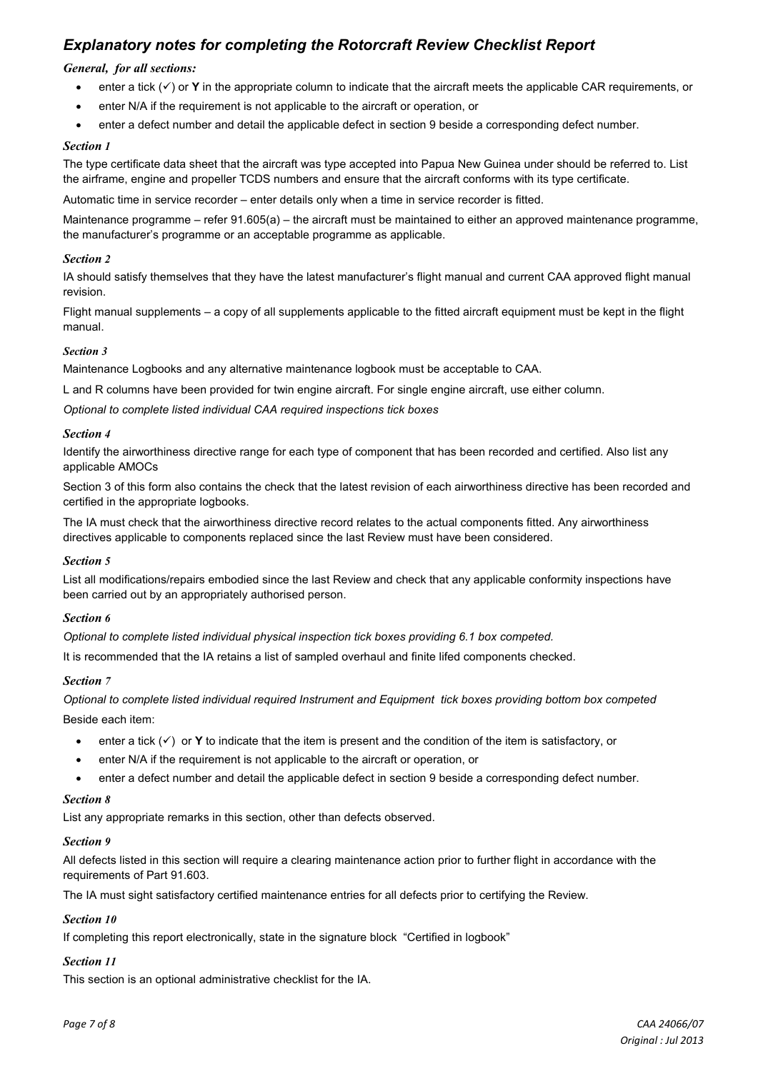## *Explanatory notes for completing the Rotorcraft Review Checklist Report*

#### *General, for all sections:*

- $\bullet$  enter a tick  $(\checkmark)$  or **Y** in the appropriate column to indicate that the aircraft meets the applicable CAR requirements, or
- enter N/A if the requirement is not applicable to the aircraft or operation, or
- enter a defect number and detail the applicable defect in section 9 beside a corresponding defect number.

#### *Section 1*

The type certificate data sheet that the aircraft was type accepted into Papua New Guinea under should be referred to. List the airframe, engine and propeller TCDS numbers and ensure that the aircraft conforms with its type certificate.

Automatic time in service recorder – enter details only when a time in service recorder is fitted.

Maintenance programme – refer 91.605(a) – the aircraft must be maintained to either an approved maintenance programme, the manufacturer's programme or an acceptable programme as applicable.

#### *Section 2*

IA should satisfy themselves that they have the latest manufacturer's flight manual and current CAA approved flight manual revision.

Flight manual supplements – a copy of all supplements applicable to the fitted aircraft equipment must be kept in the flight manual.

#### *Section 3*

Maintenance Logbooks and any alternative maintenance logbook must be acceptable to CAA.

L and R columns have been provided for twin engine aircraft. For single engine aircraft, use either column.

*Optional to complete listed individual CAA required inspections tick boxes* 

#### *Section 4*

Identify the airworthiness directive range for each type of component that has been recorded and certified. Also list any applicable AMOCs

Section 3 of this form also contains the check that the latest revision of each airworthiness directive has been recorded and certified in the appropriate logbooks.

The IA must check that the airworthiness directive record relates to the actual components fitted. Any airworthiness directives applicable to components replaced since the last Review must have been considered.

#### *Section 5*

List all modifications/repairs embodied since the last Review and check that any applicable conformity inspections have been carried out by an appropriately authorised person.

#### *Section 6*

*Optional to complete listed individual physical inspection tick boxes providing 6.1 box competed.*

It is recommended that the IA retains a list of sampled overhaul and finite lifed components checked.

### *Section 7*

*Optional to complete listed individual required Instrument and Equipment tick boxes providing bottom box competed* Beside each item:

- enter a tick  $(\checkmark)$  or **Y** to indicate that the item is present and the condition of the item is satisfactory, or
- enter N/A if the requirement is not applicable to the aircraft or operation, or
- enter a defect number and detail the applicable defect in section 9 beside a corresponding defect number.

#### *Section 8*

List any appropriate remarks in this section, other than defects observed.

#### *Section 9*

All defects listed in this section will require a clearing maintenance action prior to further flight in accordance with the requirements of Part 91.603.

The IA must sight satisfactory certified maintenance entries for all defects prior to certifying the Review.

## *Section 10*

If completing this report electronically, state in the signature block "Certified in logbook"

## *Section 11*

This section is an optional administrative checklist for the IA.